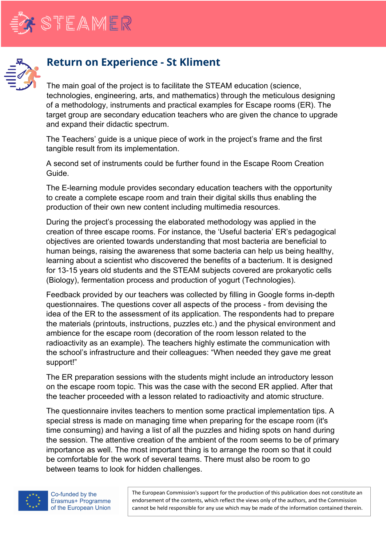

## **Return on Experience - St Kliment**

The main goal of the project is to facilitate the STEAM education (science, technologies, engineering, arts, and mathematics) through the meticulous designing of a methodology, instruments and practical examples for Escape rooms (ER). The target group are secondary education teachers who are given the chance to upgrade and expand their didactic spectrum.

The Teachers' guide is a unique piece of work in the project's frame and the first tangible result from its implementation.

A second set of instruments could be further found in the Escape Room Creation Guide.

The E-learning module provides secondary education teachers with the opportunity to create a complete escape room and train their digital skills thus enabling the production of their own new content including multimedia resources.

During the project's processing the elaborated methodology was applied in the creation of three escape rooms. For instance, the 'Useful bacteria' ER's pedagogical objectives are oriented towards understanding that most bacteria are beneficial to human beings, raising the awareness that some bacteria can help us being healthy, learning about a scientist who discovered the benefits of a bacterium. It is designed for 13-15 years old students and the STEAM subjects covered are prokaryotic cells (Biology), fermentation process and production of yogurt (Technologies).

Feedback provided by our teachers was collected by filling in Google forms in-depth questionnaires. The questions cover all aspects of the process - from devising the idea of the ER to the assessment of its application. The respondents had to prepare the materials (printouts, instructions, puzzles etc.) and the physical environment and ambience for the escape room (decoration of the room lesson related to the radioactivity as an example). The teachers highly estimate the communication with the school's infrastructure and their colleagues: "When needed they gave me great support!"

The ER preparation sessions with the students might include an introductory lesson on the escape room topic. This was the case with the second ER applied. After that the teacher proceeded with a lesson related to radioactivity and atomic structure.

The questionnaire invites teachers to mention some practical implementation tips. A special stress is made on managing time when preparing for the escape room (it's time consuming) and having a list of all the puzzles and hiding spots on hand during the session. The attentive creation of the ambient of the room seems to be of primary importance as well. The most important thing is to arrange the room so that it could be comfortable for the work of several teams. There must also be room to go between teams to look for hidden challenges.



The European Commission's support for the production of this publication does not constitute an endorsement of the contents, which reflect the views only of the authors, and the Commission cannot be held responsible for any use which may be made of the information contained therein.